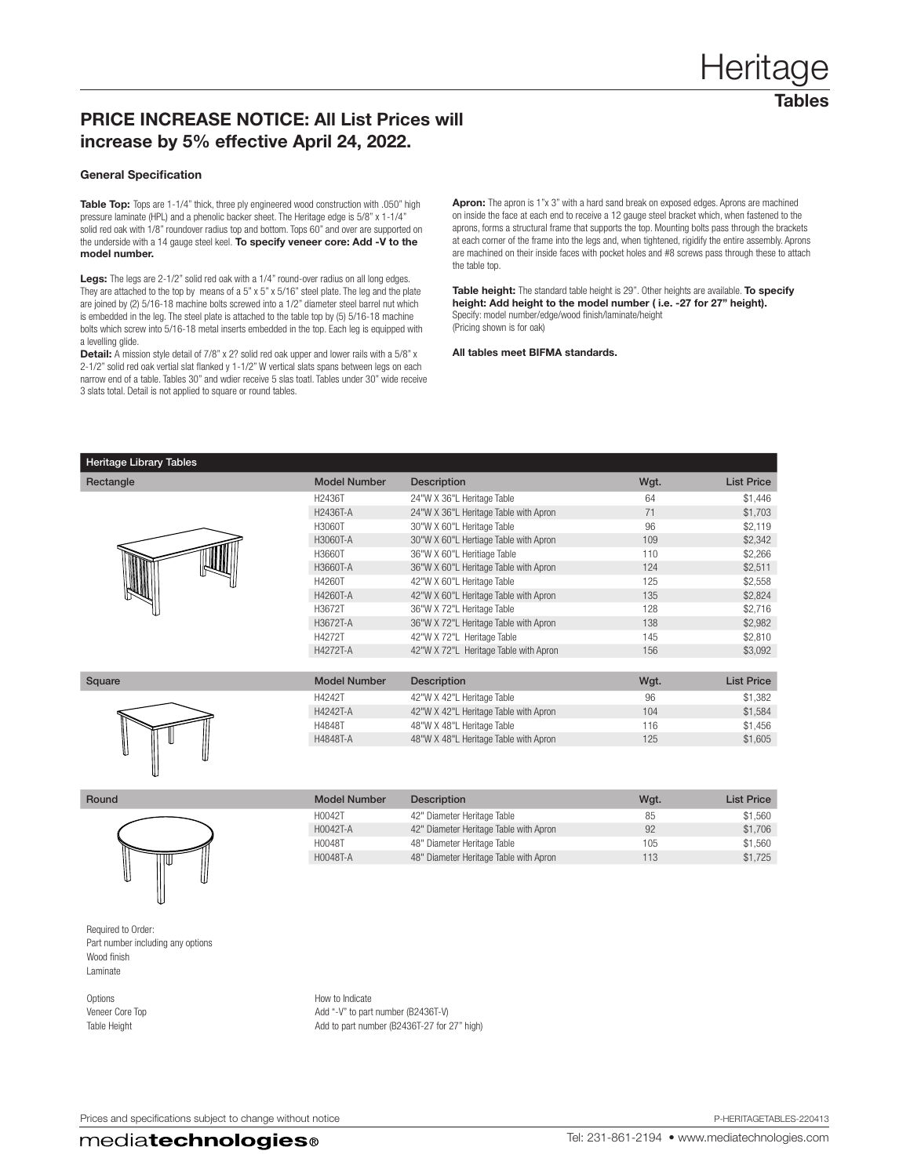## PRICE INCREASE NOTICE: All List Prices will increase by 5% effective April 24, 2022.

## General Specification

Table Top: Tops are 1-1/4" thick, three ply engineered wood construction with .050" high pressure laminate (HPL) and a phenolic backer sheet. The Heritage edge is 5/8" x 1-1/4" solid red oak with 1/8" roundover radius top and bottom. Tops 60" and over are supported on the underside with a 14 gauge steel keel. To specify veneer core: Add -V to the model number.

Legs: The legs are 2-1/2" solid red oak with a 1/4" round-over radius on all long edges. They are attached to the top by means of a 5" x 5" x 5/16" steel plate. The leg and the plate are joined by (2) 5/16-18 machine bolts screwed into a 1/2" diameter steel barrel nut which is embedded in the leg. The steel plate is attached to the table top by (5) 5/16-18 machine bolts which screw into 5/16-18 metal inserts embedded in the top. Each leg is equipped with a levelling glide.

Detail: A mission style detail of 7/8" x 2? solid red oak upper and lower rails with a 5/8" x 2-1/2" solid red oak vertial slat flanked y 1-1/2" W vertical slats spans between legs on each narrow end of a table. Tables 30" and wdier receive 5 slas toatl. Tables under 30" wide receive 3 slats total. Detail is not applied to square or round tables.

Apron: The apron is 1"x 3" with a hard sand break on exposed edges. Aprons are machined on inside the face at each end to receive a 12 gauge steel bracket which, when fastened to the aprons, forms a structural frame that supports the top. Mounting bolts pass through the brackets at each corner of the frame into the legs and, when tightened, rigidify the entire assembly. Aprons are machined on their inside faces with pocket holes and #8 screws pass through these to attach the table top.

Table height: The standard table height is 29". Other heights are available. To specify height: Add height to the model number ( i.e. -27 for 27" height). Specify: model number/edge/wood finish/laminate/height (Pricing shown is for oak)

All tables meet BIFMA standards.

| Rectangle | <b>Model Number</b> | <b>Description</b>                    | Wgt. | <b>List Price</b> |
|-----------|---------------------|---------------------------------------|------|-------------------|
|           | H <sub>2436</sub> T | 24"W X 36"L Heritage Table            | 64   | \$1,446           |
|           | H2436T-A            | 24"W X 36"L Heritage Table with Apron | 71   | \$1,703           |
|           | H3060T              | 30"W X 60"L Heritage Table            | 96   | \$2,119           |
|           | H3060T-A            | 30"W X 60"L Hertiage Table with Apron | 109  | \$2,342           |
|           | H3660T              | 36"W X 60"L Heritiage Table           | 110  | \$2,266           |
|           | H3660T-A            | 36"W X 60"L Heritage Table with Apron | 124  | \$2,511           |
|           | H4260T              | 42"W X 60"L Heritage Table            | 125  | \$2,558           |
|           | H4260T-A            | 42"W X 60"L Heritage Table with Apron | 135  | \$2,824           |
|           | H3672T              | 36"W X 72"L Heritage Table            | 128  | \$2,716           |
|           | H3672T-A            | 36"W X 72"L Heritage Table with Apron | 138  | \$2,982           |
|           | H4272T              | 42"W X 72"L Heritage Table            | 145  | \$2,810           |
|           | H4272T-A            | 42"W X 72"L Heritage Table with Apron | 156  | \$3,092           |
|           |                     |                                       |      |                   |

| Square | <b>Model Number</b> | <b>Description</b>                    | Wgt. | <b>List Price</b> |
|--------|---------------------|---------------------------------------|------|-------------------|
|        | H4242T              | 42"W X 42"L Heritage Table            | 96   | \$1,382           |
|        | H4242T-A            | 42"W X 42"L Heritage Table with Apron | 104  | \$1,584           |
|        | H4848T              | 48"W X 48"L Heritage Table            | 116  | \$1,456           |
|        | H4848T-A            | 48"W X 48"L Heritage Table with Apron | 125  | \$1,605           |
|        |                     |                                       |      |                   |

| л | п |  |
|---|---|--|



Model Number Description **Model Number** Description Wgt. All List Price H0042T 42" Diameter Heritage Table 85 \$1,560 H0042T-A 42" Diameter Heritage Table with Apron 92 \$1,706 H0048T 48" Diameter Heritage Table 105 \$1,560 H0048T-A 48" Diameter Heritage Table with Apron 113 51,725

Required to Order: Part number including any options Wood finish Laminate

Options **How to Indicate** Veneer Core Top **Add** "-V" to part number (B2436T-V) Table Height Table Height Add to part number (B2436T-27 for 27" high)

Prices and specifications subject to change without notice **P-HERITAGETABLES-220413** P-HERITAGETABLES-220413